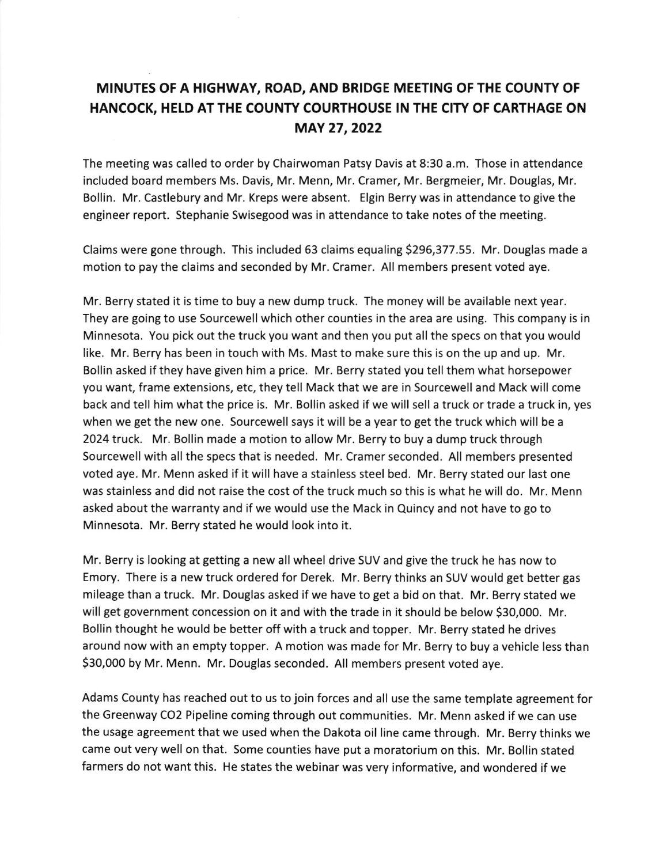## MINUTES OF A HIGHWAY, ROAD, AND BRIDGE MEETING OF THE COUNTY OF HANCOCK, HELD ATTHE COUNTY COURTHOUSE IN THE CITY OF CARTHAGE ON MAY 27,2022

The meeting was called to order by Chairwoman Patsy Davis at 8:30 a.m. Those in attendance included board members Ms. Davis, Mr. Menn, Mr. Cramer, Mr. Bergmeier, Mr. Douglas, Mr. Bollin. Mr. Castlebury and Mr. Kreps were absent. Elgin Berry was in attendance to give the engineer report. Stephanie Swisegood was in attendance to take notes of the meeting.

Claims were gone through. This included 63 claims equaling \$296,377.55. Mr. Douglas made a motion to pay the claims and seconded by Mr. Cramer. All members present voted aye.

Mr. Berry stated it is time to buy a new dump truck. The money will be available next year. They are going to use Sourcewell which other counties in the area are using. This company is in Minnesota. You pick out the truck you want and then you put all the specs on that you would like. Mr. Berry has been in touch with Ms. Mast to make sure this is on the up and up. Mr. Bollin asked if they have given him a price. Mr. Berry stated you tell them what horsepower you want, frame extensions, etc, they tell Mack that we are in Sourcewell and Mack will come back and tell him what the price is. Mr. Bollin asked if we will sell a truck or trade a truck in, yes when we get the new one. Sourcewell says it will be a year to get the truck which will be <sup>a</sup> 2024 truck. Mr. Bollin made a motion to allow Mr. Berry to buy a dump truck through Sourcewell with all the specs that is needed. Mr. Cramer seconded. All members presented voted aye. Mr. Menn asked if it will have a stainless steel bed. Mr. Berry stated our last one was stainless and did not raise the cost of the truck much so this is what he will do. Mr. Menn asked about the warranty and if we would use the Mack in Quincy and not have to go to Minnesota. Mr. Berry stated he would look into it.

Mr. Berry is looking at getting a new all wheel drive SUV and give the truck he has now to Emory. There is a new truck ordered for Derek. Mr. Berry thinks an SUV would get better gas mileage than a truck. Mr. Douglas asked if we have to get a bid on that. Mr. Berry stated we will get government concession on it and with the trade in it should be below 530,000. Mr. Bollin thought he would be better off with a truck and topper. Mr. Berry stated he drives around now with an empty topper. A motion was made for Mr. Berry to buy a vehicle less than 530,000 by Mr. Menn. Mr. Douglas seconded. All members present voted aye.

Adams County has reached out to us to join forces and all use the same template agreement for the Greenway CO2 Pipeline coming through out communities. Mr. Menn asked if we can use the usage agreement that we used when the Dakota oil line came through. Mr. Berry thinks we came out very well on that. Some counties have put a moratorium on this. Mr. Bollin stated farmers do not want this. He states the webinar was very informative, and wondered if we